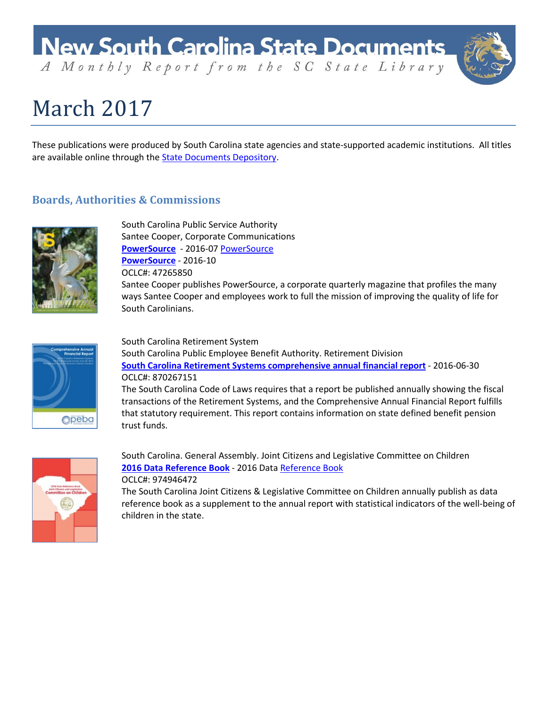# **New South Carolina State Documents**

A Monthly Report from the SC State Library

# March 2017

These publications were produced by South Carolina state agencies and state-supported academic institutions. All titles are available online through the **State Documents Depository**.

### **Boards, Authorities & Commissions**

trust funds.



South Carolina Public Service Authority Santee Cooper, Corporate Communications **[PowerSource](http://dc.statelibrary.sc.gov/handle/10827/23733)** - 2016-07 [PowerSource](http://dc.statelibrary.sc.gov/handle/10827/14760) **[PowerSource](http://dc.statelibrary.sc.gov/handle/10827/23732)** - 2016-10 OCLC#: 47265850 Santee Cooper publishes PowerSource, a corporate quarterly magazine that profiles the many ways Santee Cooper and employees work to full the mission of improving the quality of life for South Carolinians.



South Carolina Retirement System South Carolina Public Employee Benefit Authority. Retirement Division **[South Carolina Retirement Systems comprehensive annual financial report](http://dc.statelibrary.sc.gov/handle/10827/23755)** - 2016-06-30 OCLC#: 870267151 The South Carolina Code of Laws requires that a report be published annually showing the fiscal transactions of the Retirement Systems, and the Comprehensive Annual Financial Report fulfills that statutory requirement. This report contains information on state defined benefit pension



South Carolina. General Assembly. Joint Citizens and Legislative Committee on Children **[2016 Data Reference Book](http://dc.statelibrary.sc.gov/handle/10827/23869)** - 2016 Dat[a Reference Book](http://dc.statelibrary.sc.gov/handle/10827/23853) OCLC#: 974946472

The South Carolina Joint Citizens & Legislative Committee on Children annually publish as data reference book as a supplement to the annual report with statistical indicators of the well-being of children in the state.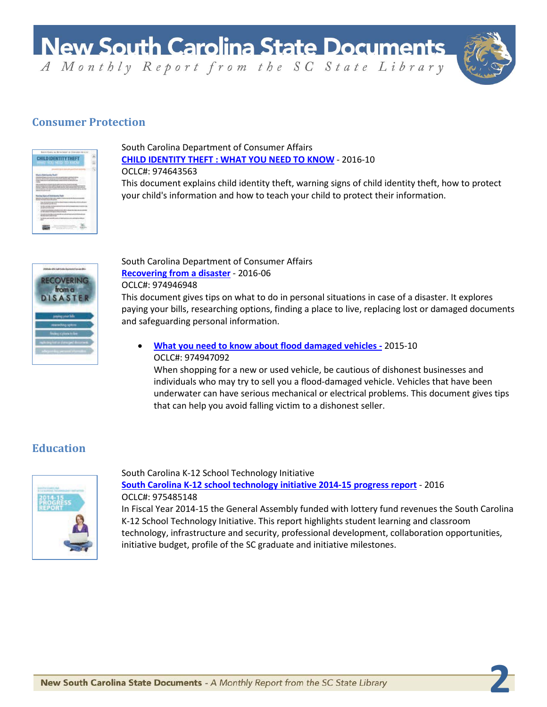

**2**

## **Consumer Protection**

|    | Sauna Cuais, as Brianland or Disnute       |  |
|----|--------------------------------------------|--|
|    | <b>LDIDENTITYT</b><br>HAT YOU NEED TO KNOW |  |
|    | रतार                                       |  |
|    |                                            |  |
|    |                                            |  |
|    |                                            |  |
|    |                                            |  |
|    |                                            |  |
|    |                                            |  |
|    |                                            |  |
|    | <b>CARD IN THE</b>                         |  |
| P. |                                            |  |

South Carolina Department of Consumer Affairs **[CHILD IDENTITY THEFT : WHAT YOU NEED TO KNOW](http://dc.statelibrary.sc.gov/handle/10827/23739)** - 2016-10 OCLC#: 974643563

This document explains child identity theft, warning signs of child identity theft, how to protect your child's information and how to teach your child to protect their information.



#### South Carolina Department of Consumer Affairs **[Recovering from a disaster](http://dc.statelibrary.sc.gov/handle/10827/23769)** - 2016-06 OCLC#: 974946948

This document gives tips on what to do in personal situations in case of a disaster. It explores paying your bills, researching options, finding a place to live, replacing lost or damaged documents and safeguarding personal information.

• **[What you need to know about flood damaged vehicles](http://dc.statelibrary.sc.gov/handle/10827/23770) -** 2015-10 OCLC#: 974947092

When shopping for a new or used vehicle, be cautious of dishonest businesses and individuals who may try to sell you a flood-damaged vehicle. Vehicles that have been underwater can have serious mechanical or electrical problems. This document gives tips that can help you avoid falling victim to a dishonest seller.

# **Education**



South Carolina K-12 School Technology Initiative **[South Carolina K-12 school technology initiative 2014-15 progress report](http://dc.statelibrary.sc.gov/handle/10827/23775)** - 2016 OCLC#: 975485148

In Fiscal Year 2014-15 the General Assembly funded with lottery fund revenues the South Carolina K-12 School Technology Initiative. This report highlights student learning and classroom technology, infrastructure and security, professional development, collaboration opportunities, initiative budget, profile of the SC graduate and initiative milestones.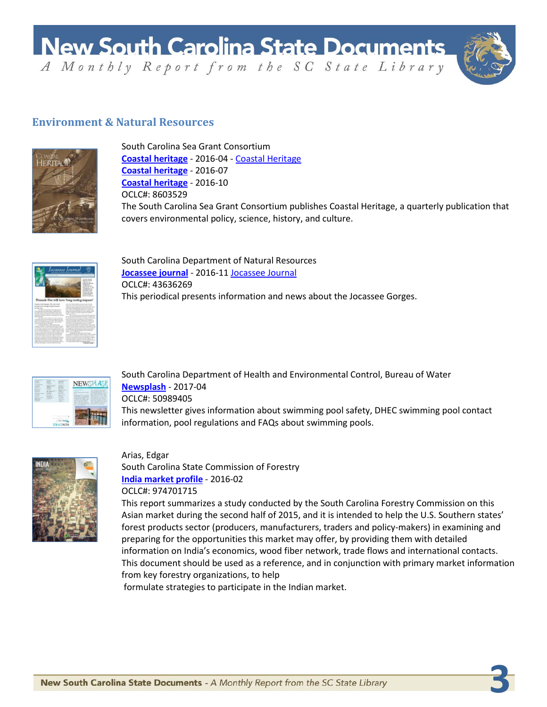**New South Carolina State Documents** 

A Monthly Report from the SC State Library



**3**

### **Environment & Natural Resources**



South Carolina Sea Grant Consortium **[Coastal heritage](http://dc.statelibrary.sc.gov/handle/10827/23735)** - 2016-04 - [Coastal Heritage](http://dc.statelibrary.sc.gov/handle/10827/17409) **[Coastal heritage](http://dc.statelibrary.sc.gov/handle/10827/23736)** - 2016-07 **[Coastal heritage](http://dc.statelibrary.sc.gov/handle/10827/23734)** - 2016-10 OCLC#: 8603529 The South Carolina Sea Grant Consortium publishes Coastal Heritage, a quarterly publication that covers environmental policy, science, history, and culture.



South Carolina Department of Natural Resources **[Jocassee journal](http://dc.statelibrary.sc.gov/handle/10827/23737)** - 2016-11 [Jocassee Journal](http://dc.statelibrary.sc.gov/handle/10827/21171) OCLC#: 43636269 This periodical presents information and news about the Jocassee Gorges.



South Carolina Department of Health and Environmental Control, Bureau of Water **[Newsplash](http://dc.statelibrary.sc.gov/handle/10827/23738)** - 2017-04 OCLC#: 50989405 This newsletter gives information about swimming pool safety, DHEC swimming pool contact information, pool regulations and FAQs about swimming pools.



Arias, Edgar South Carolina State Commission of Forestry **[India market profile](http://dc.statelibrary.sc.gov/handle/10827/23756)** - 2016-02 OCLC#: 974701715

This report summarizes a study conducted by the South Carolina Forestry Commission on this Asian market during the second half of 2015, and it is intended to help the U.S. Southern states' forest products sector (producers, manufacturers, traders and policy-makers) in examining and preparing for the opportunities this market may offer, by providing them with detailed information on India's economics, wood fiber network, trade flows and international contacts. This document should be used as a reference, and in conjunction with primary market information from key forestry organizations, to help

formulate strategies to participate in the Indian market.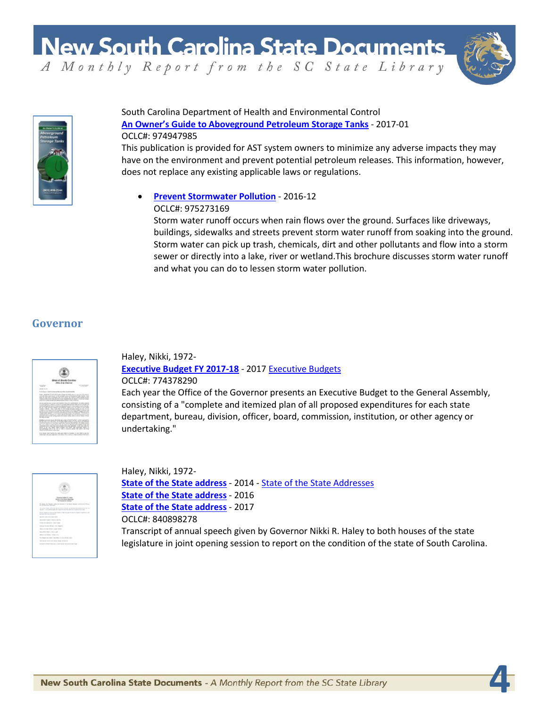**New South Carolina State Documents** 

A Monthly Report from the SC State Library

**4**



#### South Carolina Department of Health and Environmental Control **[An Owner's Guide to Aboveground Petroleum Storage Tanks](http://dc.statelibrary.sc.gov/handle/10827/23784)** - 2017-01 OCLC#: 974947985

This publication is provided for AST system owners to minimize any adverse impacts they may have on the environment and prevent potential petroleum releases. This information, however, does not replace any existing applicable laws or regulations.

#### • **[Prevent Stormwater Pollution](http://dc.statelibrary.sc.gov/handle/10827/23798)** - 2016-12 OCLC#: 975273169

Storm water runoff occurs when rain flows over the ground. Surfaces like driveways, buildings, sidewalks and streets prevent storm water runoff from soaking into the ground. Storm water can pick up trash, chemicals, dirt and other pollutants and flow into a storm sewer or directly into a lake, river or wetland.This brochure discusses storm water runoff and what you can do to lessen storm water pollution.

# **Governor**



Haley, Nikki, 1972- **[Executive Budget FY 2017-18](http://dc.statelibrary.sc.gov/handle/10827/23750)** - 2017 [Executive Budgets](http://dc.statelibrary.sc.gov/handle/10827/5746) OCLC#: 774378290

Each year the Office of the Governor presents an Executive Budget to the General Assembly, consisting of a "complete and itemized plan of all proposed expenditures for each state department, bureau, division, officer, board, commission, institution, or other agency or undertaking."



Haley, Nikki, 1972- **[State of the State address](http://dc.statelibrary.sc.gov/handle/10827/23752)** - 2014 - [State of the State Addresses](http://dc.statelibrary.sc.gov/handle/10827/32) **[State of the State address](http://dc.statelibrary.sc.gov/handle/10827/23753)** - 2016 **[State of the State address](http://dc.statelibrary.sc.gov/handle/10827/23754)** - 2017 OCLC#: 840898278 Transcript of annual speech given by Governor Nikki R. Haley to both houses of the state legislature in joint opening session to report on the condition of the state of South Carolina.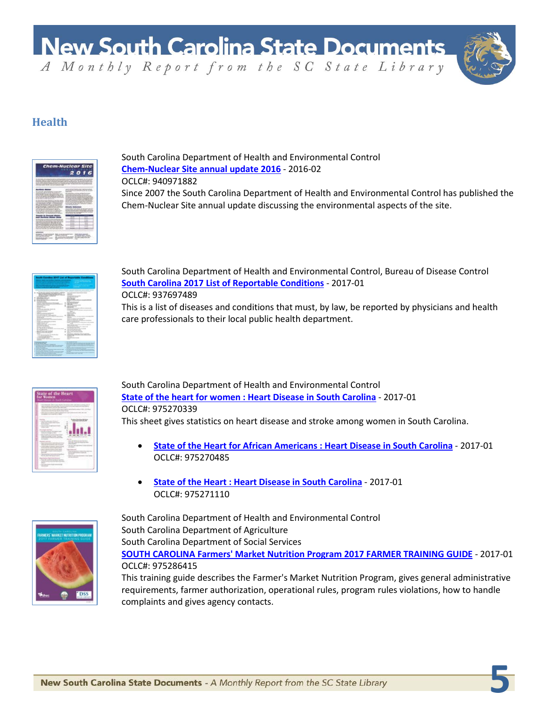

**5**

# **Health**



South Carolina Department of Health and Environmental Control **[Chem-Nuclear Site annual update 2016](http://dc.statelibrary.sc.gov/handle/10827/23791)** - 2016-02 OCLC#: 940971882 Since 2007 the South Carolina Department of Health and Environmental Control has published the Chem-Nuclear Site annual update discussing the environmental aspects of the site.

| conductable convenience entered in their                                                                               | . .                                                                         |
|------------------------------------------------------------------------------------------------------------------------|-----------------------------------------------------------------------------|
| the politicia are no one line to<br>and and in children as the photo for their particular con-<br>Automobile contracts | --                                                                          |
| <b>buse</b><br><b>Distant</b><br>٠                                                                                     | <b>DOM:NO</b><br><b>COLORADO</b>                                            |
| -----<br><b>Little Street</b><br><b>CONTRACT</b>                                                                       | <b>All Concerts</b><br>$\sim$                                               |
| <b>NUMBER OF STREET</b><br><b>Search State State Inc.</b><br><b>San Angeler Street Street</b>                          | æ<br>۰,                                                                     |
| <b>Strategic</b><br><b>CATALOG</b>                                                                                     | asico                                                                       |
| College and consultant in contrast<br>contact and a second con-<br>allowed to the 4                                    | <b>COLOR</b><br>. .<br>$\sim$                                               |
| <b>TATT</b><br><b>EDICATIONS</b>                                                                                       | <b>CARD IN</b><br>a contracto                                               |
| attribute a highest controllering<br>Andrea Audit complete.<br>n.<br><b>STATISTICS</b>                                 | <b>Alphany</b><br><b>STATISTICS</b><br>                                     |
| <b>Bibliota</b>                                                                                                        | <b>Contractor</b><br>the company's an in the co-                            |
| <b>CONTRACTOR</b><br>the property of the con-                                                                          | A Toyota substantial<br>And is all of your<br>$\sim$                        |
| 技術科                                                                                                                    | <b>Service</b><br>÷<br>n.                                                   |
| <b>Browner, private an interaction</b><br><b>Lighting</b>                                                              | <b>STATISTICS</b><br><b>STATISTICS</b><br>and the control of the control of |
| <b>MAGICALLINE TOP</b>                                                                                                 | <b>Service English</b>                                                      |
| $\frac{1}{2} \left( \frac{1}{2} \right) \left( \frac{1}{2} \right)$<br><b>Colorado</b><br>۰                            | <b>Box of the control for</b><br><b><i>Richmond College College Rd.</i></b> |
| <b>Suffrage Ave</b><br><b>CONTRACTOR</b>                                                                               | ---<br><b>EXISTENCIAL MOVIES</b>                                            |
| the structure cause's<br>-<br>--                                                                                       |                                                                             |
| A contemporariage care<br>and a series and<br><b>ALCOHOL: CANDIDATE CAN BE CAN AND INCOME.</b>                         |                                                                             |
| _______                                                                                                                |                                                                             |
| the contract factor countries<br>--                                                                                    |                                                                             |
| -                                                                                                                      | m<br><b>STATISTICS</b><br>strategies and the first                          |
|                                                                                                                        |                                                                             |

South Carolina Department of Health and Environmental Control, Bureau of Disease Control **[South Carolina 2017 List of Reportable Conditions](http://dc.statelibrary.sc.gov/handle/10827/23792)** - 2017-01 OCLC#: 937697489 This is a list of diseases and conditions that must, by law, be reported by physicians and health care professionals to their local public health department.



South Carolina Department of Health and Environmental Control **[State of the heart for women : Heart Disease in South Carolina](http://dc.statelibrary.sc.gov/handle/10827/23793)** - 2017-01 OCLC#: 975270339 This sheet gives statistics on heart disease and stroke among women in South Carolina.

- **[State of the Heart for African Americans : Heart Disease in South Carolina](http://dc.statelibrary.sc.gov/handle/10827/23794)** 2017-01 OCLC#: 975270485
- **[State of the Heart : Heart Disease in South Carolina](http://dc.statelibrary.sc.gov/handle/10827/23795)** 2017-01 OCLC#: 975271110

South Carolina Department of Health and Environmental Control



South Carolina Department of Agriculture South Carolina Department of Social Services **[SOUTH CAROLINA Farmers' Market Nutrition Program 2017 FARMER TRAINING GUIDE](http://dc.statelibrary.sc.gov/handle/10827/23833)** - 2017-01 OCLC#: 975286415

This training guide describes the Farmer's Market Nutrition Program, gives general administrative requirements, farmer authorization, operational rules, program rules violations, how to handle complaints and gives agency contacts.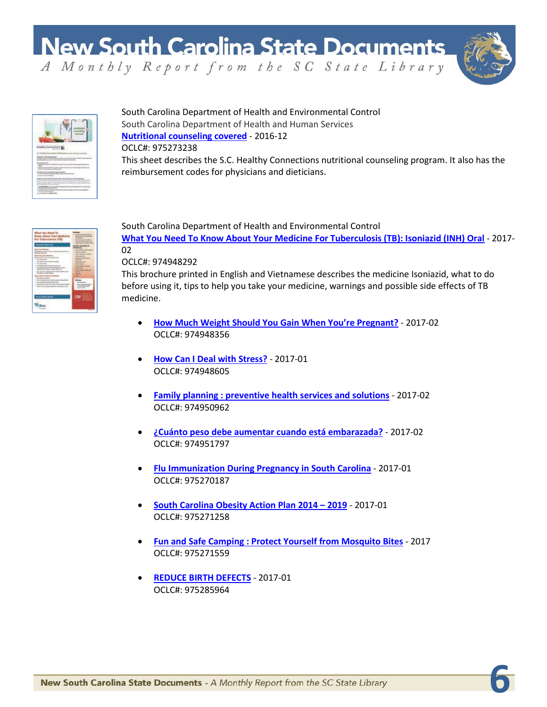

**6**



South Carolina Department of Health and Environmental Control South Carolina Department of Health and Human Services **[Nutritional counseling covered](http://dc.statelibrary.sc.gov/handle/10827/23831)** - 2016-12 OCLC#: 975273238 This sheet describes the S.C. Healthy Connections nutritional counseling program. It also has the

reimbursement codes for physicians and dieticians.

South Carolina Department of Health and Environmental Control **[What You Need To Know About Your Medicine For Tuberculosis \(TB\): Isoniazid \(INH\) Oral](http://dc.statelibrary.sc.gov/handle/10827/23785)** - 2017- 02

OCLC#: 974948292

This brochure printed in English and Vietnamese describes the medicine Isoniazid, what to do before using it, tips to help you take your medicine, warnings and possible side effects of TB medicine.

- **[How Much Weight Should You Gain When You're Pregnant?](http://dc.statelibrary.sc.gov/handle/10827/23786)** 2017-02 OCLC#: 974948356
- **[How Can I Deal with Stress?](http://dc.statelibrary.sc.gov/handle/10827/23787)** 2017-01 OCLC#: 974948605
- **[Family planning : preventive health services and solutions](http://dc.statelibrary.sc.gov/handle/10827/23788)** 2017-02 OCLC#: 974950962
- **[¿Cuánto peso debe aumentar cuando está embarazada?](http://dc.statelibrary.sc.gov/handle/10827/23789)** 2017-02 OCLC#: 974951797
- **[Flu Immunization During Pregnancy in South Carolina](http://dc.statelibrary.sc.gov/handle/10827/23790)** 2017-01 OCLC#: 975270187
- **[South Carolina Obesity Action Plan 2014 –](http://dc.statelibrary.sc.gov/handle/10827/23796) 2019** 2017-01 OCLC#: 975271258
- **[Fun and Safe Camping : Protect Yourself from Mosquito Bites](http://dc.statelibrary.sc.gov/handle/10827/23797)** 2017 OCLC#: 975271559
- **[REDUCE BIRTH DEFECTS](http://dc.statelibrary.sc.gov/handle/10827/23832)** 2017-01 OCLC#: 975285964